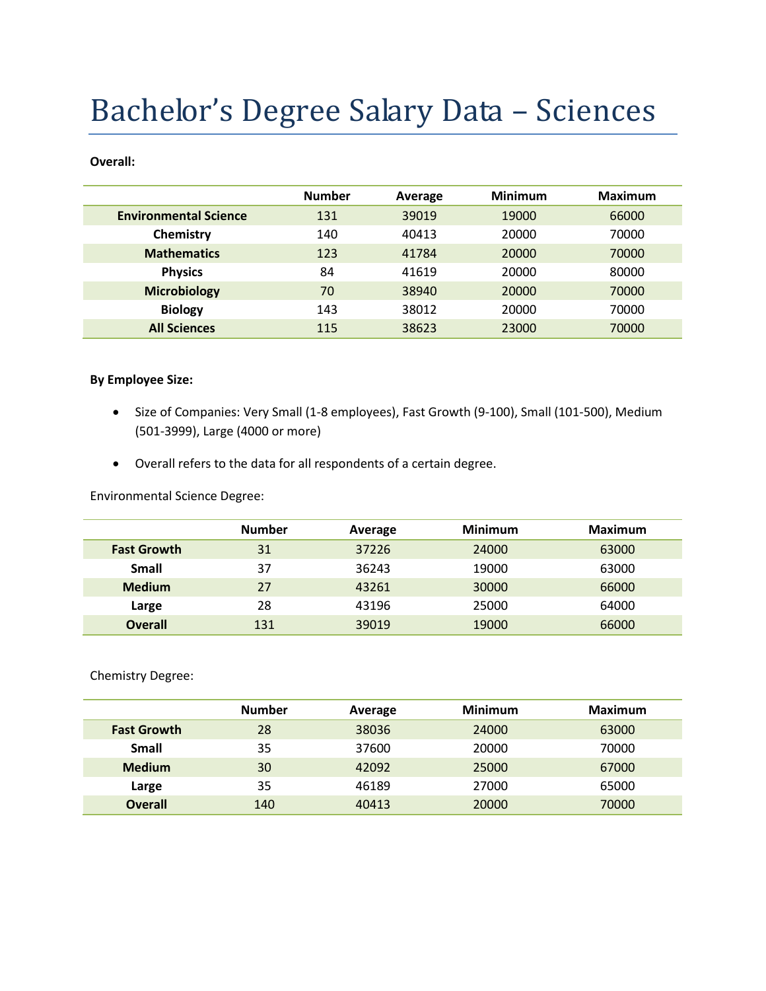# Bachelor's Degree Salary Data – Sciences

#### **Overall:**

|                              | <b>Number</b> | Average | <b>Minimum</b> | <b>Maximum</b> |
|------------------------------|---------------|---------|----------------|----------------|
| <b>Environmental Science</b> | 131           | 39019   | 19000          | 66000          |
| Chemistry                    | 140           | 40413   | 20000          | 70000          |
| <b>Mathematics</b>           | 123           | 41784   | 20000          | 70000          |
| <b>Physics</b>               | 84            | 41619   | 20000          | 80000          |
| <b>Microbiology</b>          | 70            | 38940   | 20000          | 70000          |
| <b>Biology</b>               | 143           | 38012   | 20000          | 70000          |
| <b>All Sciences</b>          | 115           | 38623   | 23000          | 70000          |

#### **By Employee Size:**

- Size of Companies: Very Small (1-8 employees), Fast Growth (9-100), Small (101-500), Medium (501-3999), Large (4000 or more)
- Overall refers to the data for all respondents of a certain degree.

Environmental Science Degree:

|                    | <b>Number</b> | Average | <b>Minimum</b> | <b>Maximum</b> |
|--------------------|---------------|---------|----------------|----------------|
| <b>Fast Growth</b> | 31            | 37226   | 24000          | 63000          |
| Small              | 37            | 36243   | 19000          | 63000          |
| <b>Medium</b>      | 27            | 43261   | 30000          | 66000          |
| Large              | 28            | 43196   | 25000          | 64000          |
| <b>Overall</b>     | 131           | 39019   | 19000          | 66000          |

Chemistry Degree:

|                    | <b>Number</b> | Average | <b>Minimum</b> | <b>Maximum</b> |
|--------------------|---------------|---------|----------------|----------------|
| <b>Fast Growth</b> | 28            | 38036   | 24000          | 63000          |
| Small              | 35            | 37600   | 20000          | 70000          |
| <b>Medium</b>      | 30            | 42092   | 25000          | 67000          |
| Large              | 35            | 46189   | 27000          | 65000          |
| <b>Overall</b>     | 140           | 40413   | 20000          | 70000          |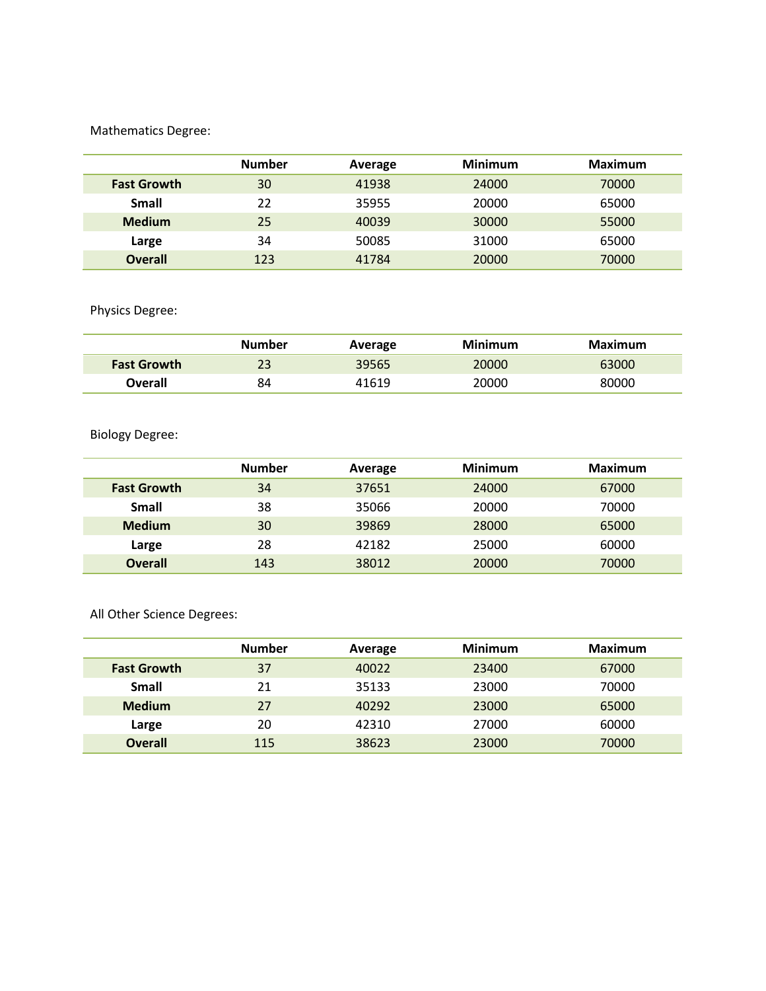## Mathematics Degree:

|                    | <b>Number</b> | Average | <b>Minimum</b> | Maximum |
|--------------------|---------------|---------|----------------|---------|
| <b>Fast Growth</b> | 30            | 41938   | 24000          | 70000   |
| <b>Small</b>       | 22            | 35955   | 20000          | 65000   |
| <b>Medium</b>      | 25            | 40039   | 30000          | 55000   |
| Large              | 34            | 50085   | 31000          | 65000   |
| <b>Overall</b>     | 123           | 41784   | 20000          | 70000   |

# Physics Degree:

|                    | <b>Number</b> | Average | Minimum | Maximum |
|--------------------|---------------|---------|---------|---------|
| <b>Fast Growth</b> | 23            | 39565   | 20000   | 63000   |
| Overall            | 84            | 41619   | 20000   | 80000   |

## Biology Degree:

|                    | <b>Number</b> | Average | <b>Minimum</b> | <b>Maximum</b> |
|--------------------|---------------|---------|----------------|----------------|
| <b>Fast Growth</b> | 34            | 37651   | 24000          | 67000          |
| <b>Small</b>       | 38            | 35066   | 20000          | 70000          |
| <b>Medium</b>      | 30            | 39869   | 28000          | 65000          |
| Large              | 28            | 42182   | 25000          | 60000          |
| <b>Overall</b>     | 143           | 38012   | 20000          | 70000          |

All Other Science Degrees:

|                    | <b>Number</b> | Average | <b>Minimum</b> | <b>Maximum</b> |
|--------------------|---------------|---------|----------------|----------------|
| <b>Fast Growth</b> | 37            | 40022   | 23400          | 67000          |
| <b>Small</b>       | 21            | 35133   | 23000          | 70000          |
| <b>Medium</b>      | 27            | 40292   | 23000          | 65000          |
| Large              | 20            | 42310   | 27000          | 60000          |
| <b>Overall</b>     | 115           | 38623   | 23000          | 70000          |